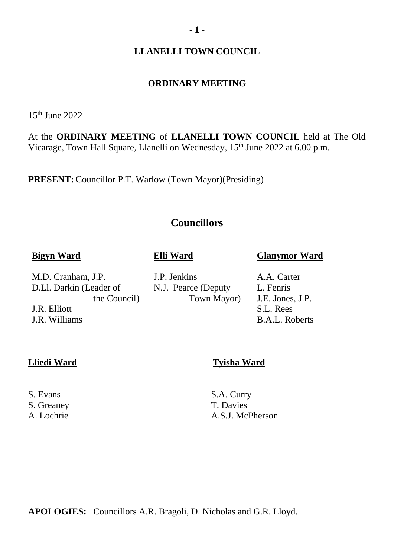#### **LLANELLI TOWN COUNCIL**

#### **ORDINARY MEETING**

15th June 2022

At the **ORDINARY MEETING** of **LLANELLI TOWN COUNCIL** held at The Old Vicarage, Town Hall Square, Llanelli on Wednesday, 15<sup>th</sup> June 2022 at 6.00 p.m.

**PRESENT:** Councillor P.T. Warlow (Town Mayor)(Presiding)

## **Councillors**

N.J. Pearce (Deputy

Town Mayor)

#### **Bigyn Ward**

#### **Elli Ward**

J.P. Jenkins

M.D. Cranham, J.P. D.Ll. Darkin (Leader of the Council)

J.R. Elliott J.R. Williams

**Lliedi Ward Tyisha Ward**

S. Greaney T. Davies

S. Evans S.A. Curry A. Lochrie A.S.J. McPherson

**APOLOGIES:** Councillors A.R. Bragoli, D. Nicholas and G.R. Lloyd.

**Glanymor Ward**

A.A. Carter L. Fenris J.E. Jones, J.P. S.L. Rees B.A.L. Roberts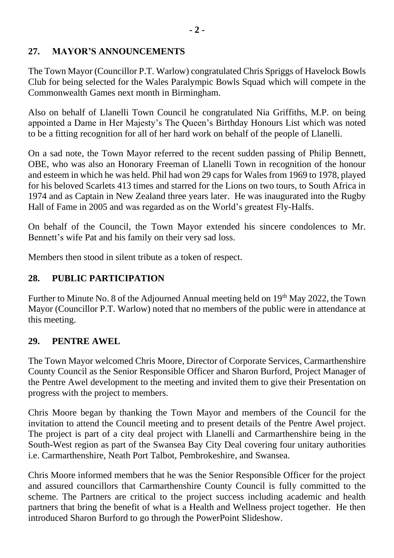## **27. MAYOR'S ANNOUNCEMENTS**

The Town Mayor (Councillor P.T. Warlow) congratulated Chris Spriggs of Havelock Bowls Club for being selected for the Wales Paralympic Bowls Squad which will compete in the Commonwealth Games next month in Birmingham.

Also on behalf of Llanelli Town Council he congratulated Nia Griffiths, M.P. on being appointed a Dame in Her Majesty's The Queen's Birthday Honours List which was noted to be a fitting recognition for all of her hard work on behalf of the people of Llanelli.

On a sad note, the Town Mayor referred to the recent sudden passing of Philip Bennett, OBE, who was also an Honorary Freeman of Llanelli Town in recognition of the honour and esteem in which he was held. Phil had won 29 caps for Wales from 1969 to 1978, played for his beloved Scarlets 413 times and starred for the Lions on two tours, to South Africa in 1974 and as Captain in New Zealand three years later. He was inaugurated into the Rugby Hall of Fame in 2005 and was regarded as on the World's greatest Fly-Halfs.

On behalf of the Council, the Town Mayor extended his sincere condolences to Mr. Bennett's wife Pat and his family on their very sad loss.

Members then stood in silent tribute as a token of respect.

# **28. PUBLIC PARTICIPATION**

Further to Minute No. 8 of the Adjourned Annual meeting held on 19<sup>th</sup> May 2022, the Town Mayor (Councillor P.T. Warlow) noted that no members of the public were in attendance at this meeting.

## **29. PENTRE AWEL**

The Town Mayor welcomed Chris Moore, Director of Corporate Services, Carmarthenshire County Council as the Senior Responsible Officer and Sharon Burford, Project Manager of the Pentre Awel development to the meeting and invited them to give their Presentation on progress with the project to members.

Chris Moore began by thanking the Town Mayor and members of the Council for the invitation to attend the Council meeting and to present details of the Pentre Awel project. The project is part of a city deal project with Llanelli and Carmarthenshire being in the South-West region as part of the Swansea Bay City Deal covering four unitary authorities i.e. Carmarthenshire, Neath Port Talbot, Pembrokeshire, and Swansea.

Chris Moore informed members that he was the Senior Responsible Officer for the project and assured councillors that Carmarthenshire County Council is fully committed to the scheme. The Partners are critical to the project success including academic and health partners that bring the benefit of what is a Health and Wellness project together. He then introduced Sharon Burford to go through the PowerPoint Slideshow.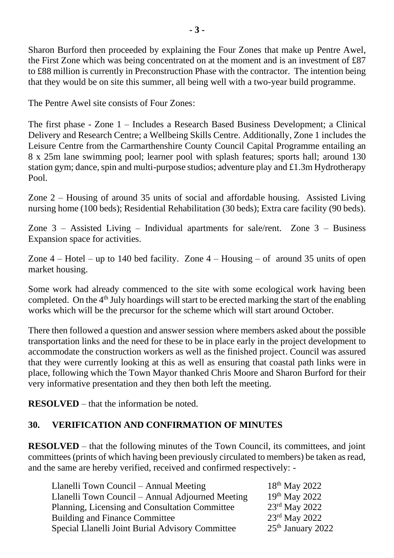Sharon Burford then proceeded by explaining the Four Zones that make up Pentre Awel, the First Zone which was being concentrated on at the moment and is an investment of £87 to £88 million is currently in Preconstruction Phase with the contractor. The intention being that they would be on site this summer, all being well with a two-year build programme.

The Pentre Awel site consists of Four Zones:

The first phase - Zone 1 – Includes a Research Based Business Development; a Clinical Delivery and Research Centre; a Wellbeing Skills Centre. Additionally, Zone 1 includes the Leisure Centre from the Carmarthenshire County Council Capital Programme entailing an 8 x 25m lane swimming pool; learner pool with splash features; sports hall; around 130 station gym; dance, spin and multi-purpose studios; adventure play and £1.3m Hydrotherapy Pool.

Zone 2 – Housing of around 35 units of social and affordable housing. Assisted Living nursing home (100 beds); Residential Rehabilitation (30 beds); Extra care facility (90 beds).

Zone 3 – Assisted Living – Individual apartments for sale/rent. Zone 3 – Business Expansion space for activities.

Zone  $4$  – Hotel – up to 140 bed facility. Zone  $4$  – Housing – of around 35 units of open market housing.

Some work had already commenced to the site with some ecological work having been completed. On the  $4<sup>th</sup>$  July hoardings will start to be erected marking the start of the enabling works which will be the precursor for the scheme which will start around October.

There then followed a question and answer session where members asked about the possible transportation links and the need for these to be in place early in the project development to accommodate the construction workers as well as the finished project. Council was assured that they were currently looking at this as well as ensuring that coastal path links were in place, following which the Town Mayor thanked Chris Moore and Sharon Burford for their very informative presentation and they then both left the meeting.

**RESOLVED** – that the information be noted.

## **30. VERIFICATION AND CONFIRMATION OF MINUTES**

**RESOLVED** – that the following minutes of the Town Council, its committees, and joint committees (prints of which having been previously circulated to members) be taken as read, and the same are hereby verified, received and confirmed respectively: -

| Llanelli Town Council – Annual Meeting                  | $18^{th}$ May 2022  |
|---------------------------------------------------------|---------------------|
| Llanelli Town Council – Annual Adjourned Meeting        | 19th May 2022       |
| Planning, Licensing and Consultation Committee          | 23rd May 2022       |
| <b>Building and Finance Committee</b>                   | 23rd May 2022       |
| <b>Special Llanelli Joint Burial Advisory Committee</b> | $25th$ January 2022 |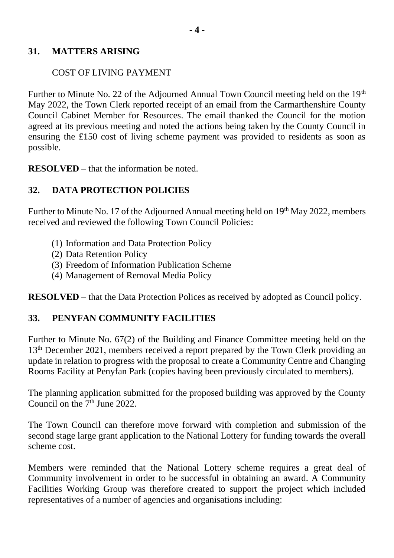#### **31. MATTERS ARISING**

### COST OF LIVING PAYMENT

Further to Minute No. 22 of the Adjourned Annual Town Council meeting held on the  $19<sup>th</sup>$ May 2022, the Town Clerk reported receipt of an email from the Carmarthenshire County Council Cabinet Member for Resources. The email thanked the Council for the motion agreed at its previous meeting and noted the actions being taken by the County Council in ensuring the £150 cost of living scheme payment was provided to residents as soon as possible.

**RESOLVED** – that the information be noted.

## **32. DATA PROTECTION POLICIES**

Further to Minute No. 17 of the Adjourned Annual meeting held on  $19<sup>th</sup>$  May 2022, members received and reviewed the following Town Council Policies:

- (1) Information and Data Protection Policy
- (2) Data Retention Policy
- (3) Freedom of Information Publication Scheme
- (4) Management of Removal Media Policy

**RESOLVED** – that the Data Protection Polices as received by adopted as Council policy.

## **33. PENYFAN COMMUNITY FACILITIES**

Further to Minute No. 67(2) of the Building and Finance Committee meeting held on the 13<sup>th</sup> December 2021, members received a report prepared by the Town Clerk providing an update in relation to progress with the proposal to create a Community Centre and Changing Rooms Facility at Penyfan Park (copies having been previously circulated to members).

The planning application submitted for the proposed building was approved by the County Council on the  $7<sup>th</sup>$  June 2022.

The Town Council can therefore move forward with completion and submission of the second stage large grant application to the National Lottery for funding towards the overall scheme cost.

Members were reminded that the National Lottery scheme requires a great deal of Community involvement in order to be successful in obtaining an award. A Community Facilities Working Group was therefore created to support the project which included representatives of a number of agencies and organisations including: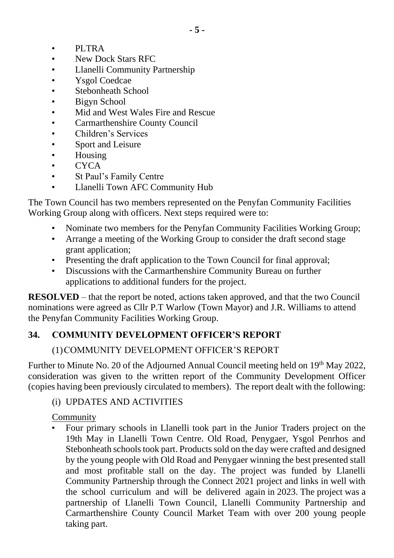- PLTRA
- New Dock Stars RFC
- Llanelli Community Partnership
- Ysgol Coedcae
- Stebonheath School
- Bigyn School
- Mid and West Wales Fire and Rescue
- Carmarthenshire County Council
- Children's Services
- Sport and Leisure
- Housing
- CYCA
- St Paul's Family Centre
- Llanelli Town AFC Community Hub

The Town Council has two members represented on the Penyfan Community Facilities Working Group along with officers. Next steps required were to:

- Nominate two members for the Penyfan Community Facilities Working Group;
- Arrange a meeting of the Working Group to consider the draft second stage grant application;
- Presenting the draft application to the Town Council for final approval;
- Discussions with the Carmarthenshire Community Bureau on further applications to additional funders for the project.

**RESOLVED** – that the report be noted, actions taken approved, and that the two Council nominations were agreed as Cllr P.T Warlow (Town Mayor) and J.R. Williams to attend the Penyfan Community Facilities Working Group.

## **34. COMMUNITY DEVELOPMENT OFFICER'S REPORT**

## (1)COMMUNITY DEVELOPMENT OFFICER'S REPORT

Further to Minute No. 20 of the Adjourned Annual Council meeting held on 19<sup>th</sup> May 2022, consideration was given to the written report of the Community Development Officer (copies having been previously circulated to members). The report dealt with the following:

## (i) UPDATES AND ACTIVITIES

**Community** 

• Four primary schools in Llanelli took part in the Junior Traders project on the 19th May in Llanelli Town Centre. Old Road, Penygaer, Ysgol Penrhos and Stebonheath schools took part. Products sold on the day were crafted and designed by the young people with Old Road and Penygaer winning the best presented stall and most profitable stall on the day. The project was funded by Llanelli Community Partnership through the Connect 2021 project and links in well with the school curriculum and will be delivered again in 2023. The project was a partnership of Llanelli Town Council, Llanelli Community Partnership and Carmarthenshire County Council Market Team with over 200 young people taking part.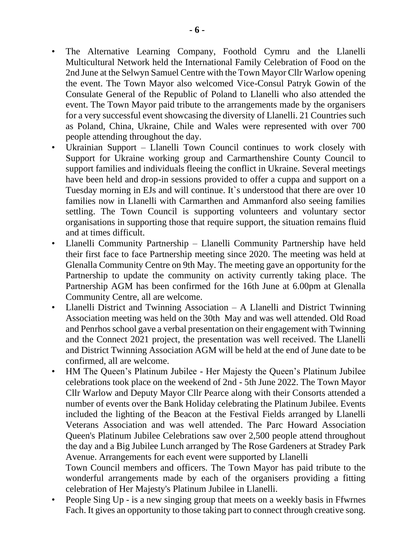- The Alternative Learning Company, Foothold Cymru and the Llanelli Multicultural Network held the International Family Celebration of Food on the 2nd June at the Selwyn Samuel Centre with the Town Mayor Cllr Warlow opening the event. The Town Mayor also welcomed Vice-Consul Patryk Gowin of the Consulate General of the Republic of Poland to Llanelli who also attended the event. The Town Mayor paid tribute to the arrangements made by the organisers for a very successful event showcasing the diversity of Llanelli. 21 Countries such as Poland, China, Ukraine, Chile and Wales were represented with over 700 people attending throughout the day.
- Ukrainian Support Llanelli Town Council continues to work closely with Support for Ukraine working group and Carmarthenshire County Council to support families and individuals fleeing the conflict in Ukraine. Several meetings have been held and drop-in sessions provided to offer a cuppa and support on a Tuesday morning in EJs and will continue. It`s understood that there are over 10 families now in Llanelli with Carmarthen and Ammanford also seeing families settling. The Town Council is supporting volunteers and voluntary sector organisations in supporting those that require support, the situation remains fluid and at times difficult.
- Llanelli Community Partnership Llanelli Community Partnership have held their first face to face Partnership meeting since 2020. The meeting was held at Glenalla Community Centre on 9th May. The meeting gave an opportunity for the Partnership to update the community on activity currently taking place. The Partnership AGM has been confirmed for the 16th June at 6.00pm at Glenalla Community Centre, all are welcome.
- Llanelli District and Twinning Association  $-$  A Llanelli and District Twinning Association meeting was held on the 30th May and was well attended. Old Road and Penrhos school gave a verbal presentation on their engagement with Twinning and the Connect 2021 project, the presentation was well received. The Llanelli and District Twinning Association AGM will be held at the end of June date to be confirmed, all are welcome.
- HM The Queen's Platinum Jubilee Her Majesty the Queen's Platinum Jubilee celebrations took place on the weekend of 2nd - 5th June 2022. The Town Mayor Cllr Warlow and Deputy Mayor Cllr Pearce along with their Consorts attended a number of events over the Bank Holiday celebrating the Platinum Jubilee. Events included the lighting of the Beacon at the Festival Fields arranged by Llanelli Veterans Association and was well attended. The Parc Howard Association Queen's Platinum Jubilee Celebrations saw over 2,500 people attend throughout the day and a Big Jubilee Lunch arranged by The Rose Gardeners at Stradey Park Avenue. Arrangements for each event were supported by Llanelli

Town Council members and officers. The Town Mayor has paid tribute to the wonderful arrangements made by each of the organisers providing a fitting celebration of Her Majesty's Platinum Jubilee in Llanelli.

• People Sing Up - is a new singing group that meets on a weekly basis in Ffwrnes Fach. It gives an opportunity to those taking part to connect through creative song.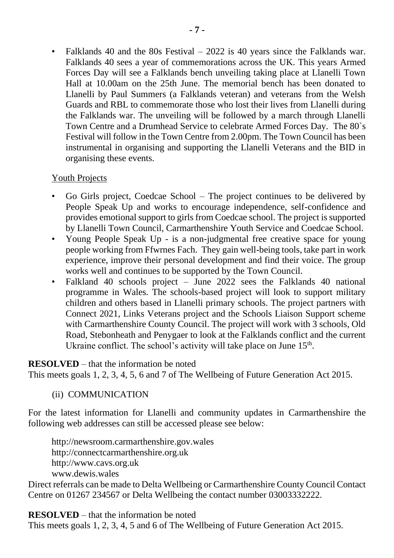• Falklands 40 and the 80s Festival – 2022 is 40 years since the Falklands war. Falklands 40 sees a year of commemorations across the UK. This years Armed Forces Day will see a Falklands bench unveiling taking place at Llanelli Town Hall at 10.00am on the 25th June. The memorial bench has been donated to Llanelli by Paul Summers (a Falklands veteran) and veterans from the Welsh Guards and RBL to commemorate those who lost their lives from Llanelli during the Falklands war. The unveiling will be followed by a march through Llanelli Town Centre and a Drumhead Service to celebrate Armed Forces Day. The 80`s Festival will follow in the Town Centre from 2.00pm. The Town Council has been instrumental in organising and supporting the Llanelli Veterans and the BID in organising these events.

#### Youth Projects

- Go Girls project, Coedcae School The project continues to be delivered by People Speak Up and works to encourage independence, self-confidence and provides emotional support to girls from Coedcae school. The project is supported by Llanelli Town Council, Carmarthenshire Youth Service and Coedcae School.
- Young People Speak Up is a non-judgmental free creative space for young people working from Ffwrnes Fach. They gain well-being tools, take part in work experience, improve their personal development and find their voice. The group works well and continues to be supported by the Town Council.
- Falkland 40 schools project June 2022 sees the Falklands 40 national programme in Wales. The schools-based project will look to support military children and others based in Llanelli primary schools. The project partners with Connect 2021, Links Veterans project and the Schools Liaison Support scheme with Carmarthenshire County Council. The project will work with 3 schools, Old Road, Stebonheath and Penygaer to look at the Falklands conflict and the current Ukraine conflict. The school's activity will take place on June 15<sup>th</sup>.

## **RESOLVED** – that the information be noted

This meets goals 1, 2, 3, 4, 5, 6 and 7 of The Wellbeing of Future Generation Act 2015.

## (ii) COMMUNICATION

For the latest information for Llanelli and community updates in Carmarthenshire the following web addresses can still be accessed please see below:

http://newsroom.carmarthenshire.gov.wales http://connectcarmarthenshire.org.uk http://www.cavs.org.uk www.dewis.wales

Direct referrals can be made to Delta Wellbeing or Carmarthenshire County Council Contact Centre on 01267 234567 or Delta Wellbeing the contact number 03003332222.

**RESOLVED** – that the information be noted

This meets goals 1, 2, 3, 4, 5 and 6 of The Wellbeing of Future Generation Act 2015.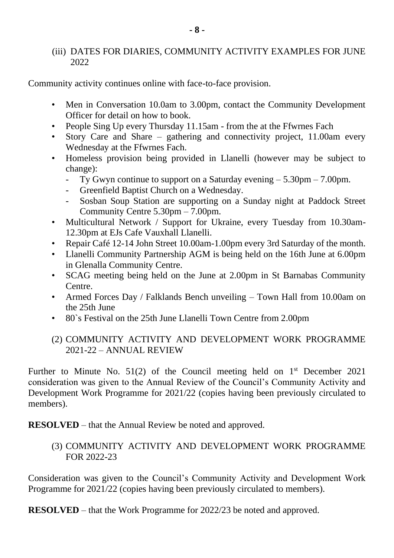#### (iii) DATES FOR DIARIES, COMMUNITY ACTIVITY EXAMPLES FOR JUNE 2022

Community activity continues online with face-to-face provision.

- Men in Conversation 10.0am to 3.00pm, contact the Community Development Officer for detail on how to book.
- People Sing Up every Thursday 11.15am from the at the Ffwrnes Fach
- Story Care and Share gathering and connectivity project,  $11.00$ am every Wednesday at the Ffwrnes Fach.
- Homeless provision being provided in Llanelli (however may be subject to change):
	- Ty Gwyn continue to support on a Saturday evening  $5.30 \text{pm} 7.00 \text{pm}$ .
	- Greenfield Baptist Church on a Wednesday.
	- Sosban Soup Station are supporting on a Sunday night at Paddock Street Community Centre 5.30pm – 7.00pm.
- Multicultural Network / Support for Ukraine, every Tuesday from 10.30am-12.30pm at EJs Cafe Vauxhall Llanelli.
- Repair Café 12-14 John Street 10.00am-1.00pm every 3rd Saturday of the month.
- Llanelli Community Partnership AGM is being held on the 16th June at 6.00pm in Glenalla Community Centre.
- SCAG meeting being held on the June at 2.00pm in St Barnabas Community Centre.
- Armed Forces Day / Falklands Bench unveiling Town Hall from 10.00am on the 25th June
- 80`s Festival on the 25th June Llanelli Town Centre from 2.00pm

#### (2) COMMUNITY ACTIVITY AND DEVELOPMENT WORK PROGRAMME 2021-22 – ANNUAL REVIEW

Further to Minute No.  $51(2)$  of the Council meeting held on  $1<sup>st</sup>$  December 2021 consideration was given to the Annual Review of the Council's Community Activity and Development Work Programme for 2021/22 (copies having been previously circulated to members).

**RESOLVED** – that the Annual Review be noted and approved.

(3) COMMUNITY ACTIVITY AND DEVELOPMENT WORK PROGRAMME FOR 2022-23

Consideration was given to the Council's Community Activity and Development Work Programme for 2021/22 (copies having been previously circulated to members).

**RESOLVED** – that the Work Programme for 2022/23 be noted and approved.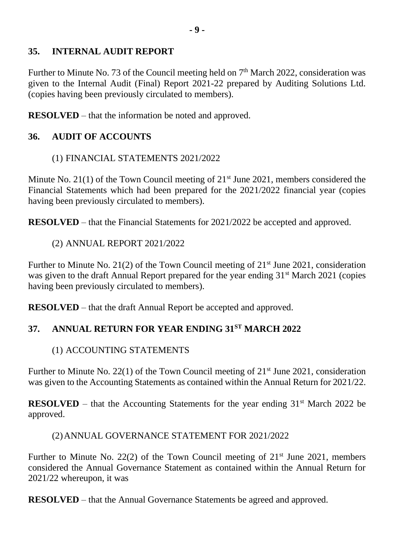## **35. INTERNAL AUDIT REPORT**

Further to Minute No. 73 of the Council meeting held on 7<sup>th</sup> March 2022, consideration was given to the Internal Audit (Final) Report 2021-22 prepared by Auditing Solutions Ltd. (copies having been previously circulated to members).

**RESOLVED** – that the information be noted and approved.

## **36. AUDIT OF ACCOUNTS**

#### (1) FINANCIAL STATEMENTS 2021/2022

Minute No. 21(1) of the Town Council meeting of  $21<sup>st</sup>$  June 2021, members considered the Financial Statements which had been prepared for the 2021/2022 financial year (copies having been previously circulated to members).

**RESOLVED** – that the Financial Statements for 2021/2022 be accepted and approved.

(2) ANNUAL REPORT 2021/2022

Further to Minute No. 21(2) of the Town Council meeting of  $21<sup>st</sup>$  June 2021, consideration was given to the draft Annual Report prepared for the year ending 31<sup>st</sup> March 2021 (copies having been previously circulated to members).

**RESOLVED** – that the draft Annual Report be accepted and approved.

## **37. ANNUAL RETURN FOR YEAR ENDING 31ST MARCH 2022**

## (1) ACCOUNTING STATEMENTS

Further to Minute No. 22(1) of the Town Council meeting of  $21<sup>st</sup>$  June 2021, consideration was given to the Accounting Statements as contained within the Annual Return for 2021/22.

**RESOLVED** – that the Accounting Statements for the year ending  $31<sup>st</sup>$  March 2022 be approved.

#### (2)ANNUAL GOVERNANCE STATEMENT FOR 2021/2022

Further to Minute No. 22(2) of the Town Council meeting of  $21<sup>st</sup>$  June 2021, members considered the Annual Governance Statement as contained within the Annual Return for 2021/22 whereupon, it was

**RESOLVED** – that the Annual Governance Statements be agreed and approved.